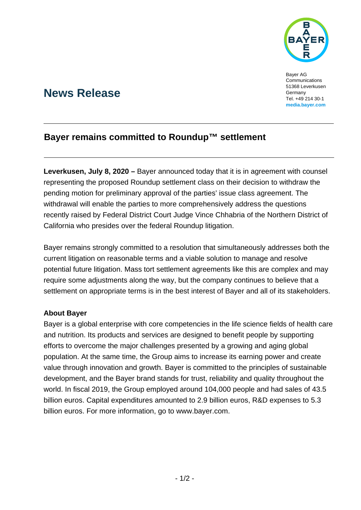

Bayer AG **Communications** 51368 Leverkusen Germany Tel. +49 214 30-1 **[media.bayer.com](http://media.bayer.de/)**

# **News Release**

## **Bayer remains committed to Roundup™ settlement**

**Leverkusen, July 8, 2020 –** Bayer announced today that it is in agreement with counsel representing the proposed Roundup settlement class on their decision to withdraw the pending motion for preliminary approval of the parties' issue class agreement. The withdrawal will enable the parties to more comprehensively address the questions recently raised by Federal District Court Judge Vince Chhabria of the Northern District of California who presides over the federal Roundup litigation.

Bayer remains strongly committed to a resolution that simultaneously addresses both the current litigation on reasonable terms and a viable solution to manage and resolve potential future litigation. Mass tort settlement agreements like this are complex and may require some adjustments along the way, but the company continues to believe that a settlement on appropriate terms is in the best interest of Bayer and all of its stakeholders.

### **About Bayer**

Bayer is a global enterprise with core competencies in the life science fields of health care and nutrition. Its products and services are designed to benefit people by supporting efforts to overcome the major challenges presented by a growing and aging global population. At the same time, the Group aims to increase its earning power and create value through innovation and growth. Bayer is committed to the principles of sustainable development, and the Bayer brand stands for trust, reliability and quality throughout the world. In fiscal 2019, the Group employed around 104,000 people and had sales of 43.5 billion euros. Capital expenditures amounted to 2.9 billion euros, R&D expenses to 5.3 billion euros. For more information, go to [www.bayer.com.](http://www.bayer.com/)